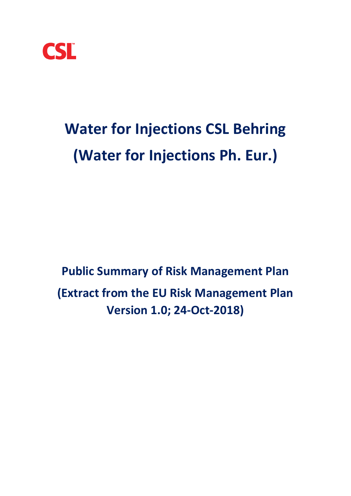

# **Water for Injections CSL Behring (Water for Injections Ph. Eur.)**

**Public Summary of Risk Management Plan (Extract from the EU Risk Management Plan Version 1.0; 24-Oct-2018)**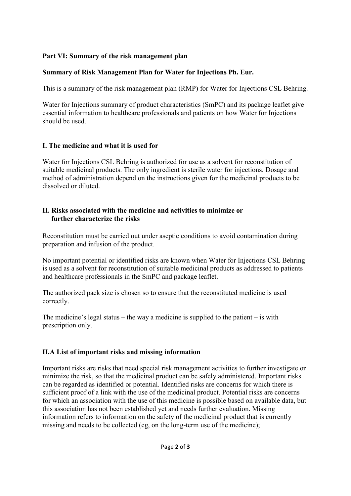## **Part VI: Summary of the risk management plan**

## **Summary of Risk Management Plan for Water for Injections Ph. Eur.**

This is a summary of the risk management plan (RMP) for Water for Injections CSL Behring.

Water for Injections summary of product characteristics (SmPC) and its package leaflet give essential information to healthcare professionals and patients on how Water for Injections should be used.

## **I. The medicine and what it is used for**

Water for Injections CSL Behring is authorized for use as a solvent for reconstitution of suitable medicinal products. The only ingredient is sterile water for injections. Dosage and method of administration depend on the instructions given for the medicinal products to be dissolved or diluted.

## **II. Risks associated with the medicine and activities to minimize or further characterize the risks**

Reconstitution must be carried out under aseptic conditions to avoid contamination during preparation and infusion of the product.

No important potential or identified risks are known when Water for Injections CSL Behring is used as a solvent for reconstitution of suitable medicinal products as addressed to patients and healthcare professionals in the SmPC and package leaflet.

The authorized pack size is chosen so to ensure that the reconstituted medicine is used correctly.

The medicine's legal status – the way a medicine is supplied to the patient – is with prescription only.

# **II.A List of important risks and missing information**

Important risks are risks that need special risk management activities to further investigate or minimize the risk, so that the medicinal product can be safely administered. Important risks can be regarded as identified or potential. Identified risks are concerns for which there is sufficient proof of a link with the use of the medicinal product. Potential risks are concerns for which an association with the use of this medicine is possible based on available data, but this association has not been established yet and needs further evaluation. Missing information refers to information on the safety of the medicinal product that is currently missing and needs to be collected (eg, on the long-term use of the medicine);